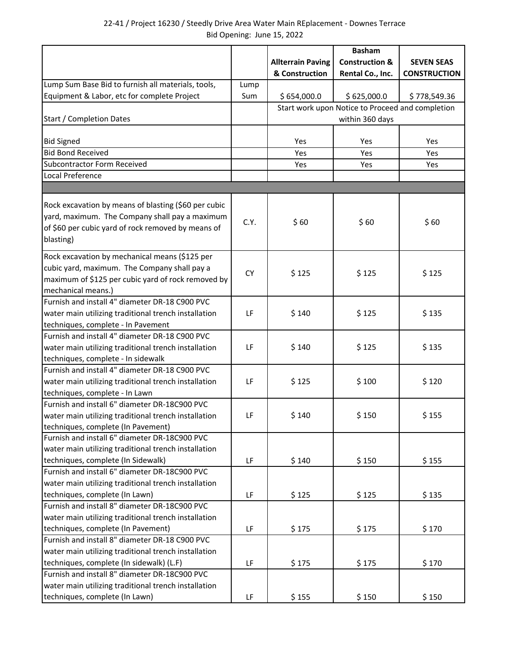|                                                      |           |                          | <b>Basham</b>                                    |                     |  |
|------------------------------------------------------|-----------|--------------------------|--------------------------------------------------|---------------------|--|
|                                                      |           | <b>Allterrain Paving</b> | <b>Construction &amp;</b>                        | <b>SEVEN SEAS</b>   |  |
|                                                      |           | & Construction           | Rental Co., Inc.                                 | <b>CONSTRUCTION</b> |  |
| Lump Sum Base Bid to furnish all materials, tools,   | Lump      |                          |                                                  |                     |  |
| Equipment & Labor, etc for complete Project          | Sum       | \$654,000.0              | \$625,000.0                                      | \$778,549.36        |  |
|                                                      |           |                          | Start work upon Notice to Proceed and completion |                     |  |
| <b>Start / Completion Dates</b>                      |           |                          | within 360 days                                  |                     |  |
|                                                      |           |                          |                                                  |                     |  |
| <b>Bid Signed</b>                                    |           | Yes                      | Yes                                              | Yes                 |  |
| <b>Bid Bond Received</b>                             |           | Yes                      | Yes                                              | Yes                 |  |
| <b>Subcontractor Form Received</b>                   |           | Yes                      | Yes                                              | Yes                 |  |
| Local Preference                                     |           |                          |                                                  |                     |  |
|                                                      |           |                          |                                                  |                     |  |
| Rock excavation by means of blasting (\$60 per cubic |           |                          |                                                  |                     |  |
| yard, maximum. The Company shall pay a maximum       |           |                          |                                                  |                     |  |
| of \$60 per cubic yard of rock removed by means of   | C.Y.      | \$60                     | \$60                                             | \$60                |  |
| blasting)                                            |           |                          |                                                  |                     |  |
|                                                      |           |                          |                                                  |                     |  |
| Rock excavation by mechanical means (\$125 per       |           |                          |                                                  |                     |  |
| cubic yard, maximum. The Company shall pay a         | <b>CY</b> | \$125                    | \$125                                            | \$125               |  |
| maximum of \$125 per cubic yard of rock removed by   |           |                          |                                                  |                     |  |
| mechanical means.)                                   |           |                          |                                                  |                     |  |
| Furnish and install 4" diameter DR-18 C900 PVC       |           |                          |                                                  |                     |  |
| water main utilizing traditional trench installation | LF        | \$140                    | \$125                                            | \$135               |  |
| techniques, complete - In Pavement                   |           |                          |                                                  |                     |  |
| Furnish and install 4" diameter DR-18 C900 PVC       |           |                          |                                                  |                     |  |
| water main utilizing traditional trench installation | LF        | \$140                    | \$125                                            | \$135               |  |
| techniques, complete - In sidewalk                   |           |                          |                                                  |                     |  |
| Furnish and install 4" diameter DR-18 C900 PVC       |           |                          |                                                  |                     |  |
| water main utilizing traditional trench installation | LF        | \$125                    | \$100                                            | \$120               |  |
| techniques, complete - In Lawn                       |           |                          |                                                  |                     |  |
| Furnish and install 6" diameter DR-18C900 PVC        |           |                          |                                                  |                     |  |
| water main utilizing traditional trench installation | LF        | \$140                    | \$150                                            | \$155               |  |
| techniques, complete (In Pavement)                   |           |                          |                                                  |                     |  |
| Furnish and install 6" diameter DR-18C900 PVC        |           |                          |                                                  |                     |  |
| water main utilizing traditional trench installation |           |                          |                                                  |                     |  |
| techniques, complete (In Sidewalk)                   | LF        | \$140                    | \$150                                            | \$155               |  |
| Furnish and install 6" diameter DR-18C900 PVC        |           |                          |                                                  |                     |  |
| water main utilizing traditional trench installation |           |                          |                                                  |                     |  |
| techniques, complete (In Lawn)                       | LF        | \$125                    | \$125                                            | \$135               |  |
| Furnish and install 8" diameter DR-18C900 PVC        |           |                          |                                                  |                     |  |
| water main utilizing traditional trench installation |           |                          |                                                  |                     |  |
| techniques, complete (In Pavement)                   | LF        | \$175                    | \$175                                            | \$170               |  |
| Furnish and install 8" diameter DR-18 C900 PVC       |           |                          |                                                  |                     |  |
| water main utilizing traditional trench installation |           |                          |                                                  |                     |  |
| techniques, complete (In sidewalk) (L.F)             | LF        | \$175                    | \$175                                            | \$170               |  |
| Furnish and install 8" diameter DR-18C900 PVC        |           |                          |                                                  |                     |  |
| water main utilizing traditional trench installation |           |                          |                                                  |                     |  |
| techniques, complete (In Lawn)                       | LF        | \$155                    | \$150                                            | \$150               |  |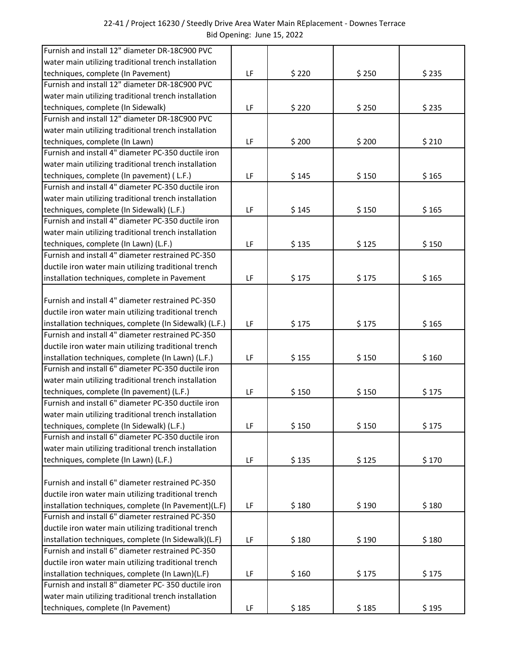| 22-41 / Project 16230 / Steedly Drive Area Water Main REplacement - Downes Terrace |                            |  |
|------------------------------------------------------------------------------------|----------------------------|--|
|                                                                                    | Bid Opening: June 15, 2022 |  |

| Furnish and install 12" diameter DR-18C900 PVC         |    |       |       |       |
|--------------------------------------------------------|----|-------|-------|-------|
| water main utilizing traditional trench installation   |    |       |       |       |
| techniques, complete (In Pavement)                     | LF | \$220 | \$250 | \$235 |
| Furnish and install 12" diameter DR-18C900 PVC         |    |       |       |       |
| water main utilizing traditional trench installation   |    |       |       |       |
| techniques, complete (In Sidewalk)                     | LF | \$220 | \$250 | \$235 |
| Furnish and install 12" diameter DR-18C900 PVC         |    |       |       |       |
| water main utilizing traditional trench installation   |    |       |       |       |
| techniques, complete (In Lawn)                         | LF | \$200 | \$200 | \$210 |
| Furnish and install 4" diameter PC-350 ductile iron    |    |       |       |       |
| water main utilizing traditional trench installation   |    |       |       |       |
| techniques, complete (In pavement) (L.F.)              | LF | \$145 | \$150 | \$165 |
| Furnish and install 4" diameter PC-350 ductile iron    |    |       |       |       |
| water main utilizing traditional trench installation   |    |       |       |       |
| techniques, complete (In Sidewalk) (L.F.)              | LF | \$145 | \$150 | \$165 |
| Furnish and install 4" diameter PC-350 ductile iron    |    |       |       |       |
| water main utilizing traditional trench installation   |    |       |       |       |
| techniques, complete (In Lawn) (L.F.)                  | LF | \$135 | \$125 | \$150 |
| Furnish and install 4" diameter restrained PC-350      |    |       |       |       |
| ductile iron water main utilizing traditional trench   |    |       |       |       |
| installation techniques, complete in Pavement          | LF | \$175 | \$175 | \$165 |
|                                                        |    |       |       |       |
| Furnish and install 4" diameter restrained PC-350      |    |       |       |       |
| ductile iron water main utilizing traditional trench   |    |       |       |       |
| installation techniques, complete (In Sidewalk) (L.F.) | LF | \$175 | \$175 | \$165 |
| Furnish and install 4" diameter restrained PC-350      |    |       |       |       |
| ductile iron water main utilizing traditional trench   |    |       |       |       |
| installation techniques, complete (In Lawn) (L.F.)     | LF | \$155 | \$150 | \$160 |
| Furnish and install 6" diameter PC-350 ductile iron    |    |       |       |       |
| water main utilizing traditional trench installation   |    |       |       |       |
| techniques, complete (In pavement) (L.F.)              | LF | \$150 | \$150 | \$175 |
| Furnish and install 6" diameter PC-350 ductile iron    |    |       |       |       |
| water main utilizing traditional trench installation   |    |       |       |       |
| techniques, complete (In Sidewalk) (L.F.)              | LF | \$150 | \$150 | \$175 |
| Furnish and install 6" diameter PC-350 ductile iron    |    |       |       |       |
| water main utilizing traditional trench installation   |    |       |       |       |
| techniques, complete (In Lawn) (L.F.)                  | LF | \$135 | \$125 | \$170 |
|                                                        |    |       |       |       |
| Furnish and install 6" diameter restrained PC-350      |    |       |       |       |
| ductile iron water main utilizing traditional trench   |    |       |       |       |
| installation techniques, complete (In Pavement)(L.F)   | LF | \$180 | \$190 | \$180 |
| Furnish and install 6" diameter restrained PC-350      |    |       |       |       |
| ductile iron water main utilizing traditional trench   |    |       |       |       |
| installation techniques, complete (In Sidewalk)(L.F)   | LF | \$180 | \$190 | \$180 |
| Furnish and install 6" diameter restrained PC-350      |    |       |       |       |
| ductile iron water main utilizing traditional trench   |    |       |       |       |
| installation techniques, complete (In Lawn)(L.F)       | LF | \$160 | \$175 | \$175 |
| Furnish and install 8" diameter PC-350 ductile iron    |    |       |       |       |
| water main utilizing traditional trench installation   |    |       |       |       |
| techniques, complete (In Pavement)                     | LF | \$185 | \$185 | \$195 |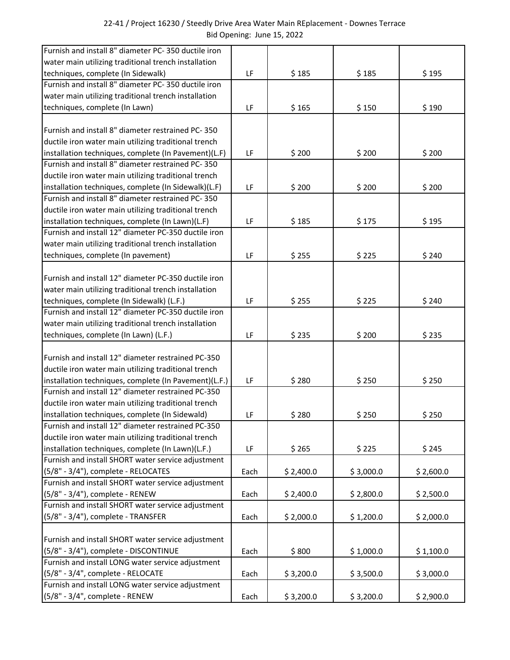| Furnish and install 8" diameter PC-350 ductile iron   |      |           |           |           |
|-------------------------------------------------------|------|-----------|-----------|-----------|
| water main utilizing traditional trench installation  |      |           |           |           |
| techniques, complete (In Sidewalk)                    | LF   | \$185     | \$185     | \$195     |
| Furnish and install 8" diameter PC-350 ductile iron   |      |           |           |           |
| water main utilizing traditional trench installation  |      |           |           |           |
| techniques, complete (In Lawn)                        | LF   | \$165     | \$150     | \$190     |
|                                                       |      |           |           |           |
| Furnish and install 8" diameter restrained PC-350     |      |           |           |           |
| ductile iron water main utilizing traditional trench  |      |           |           |           |
| installation techniques, complete (In Pavement)(L.F)  | LF   | \$200     | \$200     | \$200     |
| Furnish and install 8" diameter restrained PC-350     |      |           |           |           |
| ductile iron water main utilizing traditional trench  |      |           |           |           |
| installation techniques, complete (In Sidewalk)(L.F)  | LF   | \$200     | \$200     | \$200     |
| Furnish and install 8" diameter restrained PC-350     |      |           |           |           |
| ductile iron water main utilizing traditional trench  |      |           |           |           |
| installation techniques, complete (In Lawn)(L.F)      | LF   | \$185     | \$175     | \$195     |
| Furnish and install 12" diameter PC-350 ductile iron  |      |           |           |           |
| water main utilizing traditional trench installation  |      |           |           |           |
| techniques, complete (In pavement)                    | LF   | \$255     | \$225     | \$240     |
|                                                       |      |           |           |           |
| Furnish and install 12" diameter PC-350 ductile iron  |      |           |           |           |
| water main utilizing traditional trench installation  |      |           |           |           |
| techniques, complete (In Sidewalk) (L.F.)             | LF   | \$255     | \$225     | \$240     |
| Furnish and install 12" diameter PC-350 ductile iron  |      |           |           |           |
| water main utilizing traditional trench installation  |      |           |           |           |
| techniques, complete (In Lawn) (L.F.)                 | LF   | \$235     | \$200     | \$235     |
|                                                       |      |           |           |           |
| Furnish and install 12" diameter restrained PC-350    |      |           |           |           |
| ductile iron water main utilizing traditional trench  |      |           |           |           |
| installation techniques, complete (In Pavement)(L.F.) | LF   | \$280     | \$250     | \$250     |
| Furnish and install 12" diameter restrained PC-350    |      |           |           |           |
| ductile iron water main utilizing traditional trench  |      |           |           |           |
| installation techniques, complete (In Sidewald)       | LF   | \$280     | \$250     | \$250     |
| Furnish and install 12" diameter restrained PC-350    |      |           |           |           |
| ductile iron water main utilizing traditional trench  |      |           |           |           |
| installation techniques, complete (In Lawn)(L.F.)     | LF   | \$265     | \$225     | \$245     |
| Furnish and install SHORT water service adjustment    |      |           |           |           |
| (5/8" - 3/4"), complete - RELOCATES                   | Each | \$2,400.0 | \$3,000.0 | \$2,600.0 |
| Furnish and install SHORT water service adjustment    |      |           |           |           |
| (5/8" - 3/4"), complete - RENEW                       | Each | \$2,400.0 | \$2,800.0 | \$2,500.0 |
| Furnish and install SHORT water service adjustment    |      |           |           |           |
| (5/8" - 3/4"), complete - TRANSFER                    | Each | \$2,000.0 | \$1,200.0 | \$2,000.0 |
|                                                       |      |           |           |           |
| Furnish and install SHORT water service adjustment    |      |           |           |           |
| (5/8" - 3/4"), complete - DISCONTINUE                 | Each | \$800     | \$1,000.0 | \$1,100.0 |
| Furnish and install LONG water service adjustment     |      |           |           |           |
| (5/8" - 3/4", complete - RELOCATE                     | Each | \$3,200.0 | \$3,500.0 | \$3,000.0 |
| Furnish and install LONG water service adjustment     |      |           |           |           |
| (5/8" - 3/4", complete - RENEW                        | Each | \$3,200.0 | \$3,200.0 | \$2,900.0 |
|                                                       |      |           |           |           |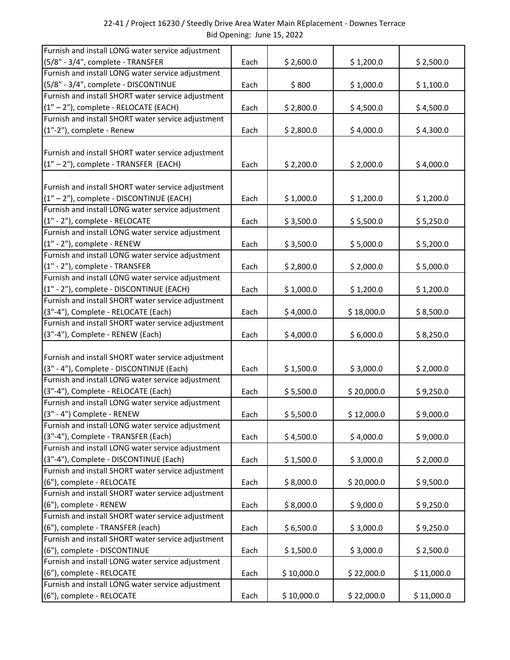| Furnish and install LONG water service adjustment                                         |      |            |            |            |
|-------------------------------------------------------------------------------------------|------|------------|------------|------------|
| (5/8" - 3/4", complete - TRANSFER                                                         | Each | \$2,600.0  | \$1,200.0  | \$2,500.0  |
| Furnish and install LONG water service adjustment                                         |      |            |            |            |
| (5/8" - 3/4", complete - DISCONTINUE                                                      | Each | \$800      | \$1,000.0  | \$1,100.0  |
| Furnish and install SHORT water service adjustment                                        |      |            |            |            |
| (1" - 2"), complete - RELOCATE (EACH)                                                     | Each | \$2,800.0  | \$4,500.0  | \$4,500.0  |
| Furnish and install SHORT water service adjustment                                        |      |            |            |            |
| (1"-2"), complete - Renew                                                                 | Each | \$2,800.0  | \$4,000.0  | \$4,300.0  |
|                                                                                           |      |            |            |            |
| Furnish and install SHORT water service adjustment                                        |      |            |            |            |
| $(1'' - 2'')$ , complete - TRANSFER (EACH)                                                | Each | \$2,200.0  | \$2,000.0  | \$4,000.0  |
|                                                                                           |      |            |            |            |
| Furnish and install SHORT water service adjustment                                        |      |            |            |            |
| (1" - 2"), complete - DISCONTINUE (EACH)                                                  | Each | \$1,000.0  | \$1,200.0  | \$1,200.0  |
| Furnish and install LONG water service adjustment                                         |      |            |            |            |
| (1" - 2"), complete - RELOCATE                                                            | Each | \$3,500.0  | \$5,500.0  | \$5,250.0  |
| Furnish and install LONG water service adjustment                                         |      |            |            |            |
| (1" - 2"), complete - RENEW                                                               | Each | \$3,500.0  | \$5,000.0  | \$5,200.0  |
| Furnish and install LONG water service adjustment                                         |      |            |            |            |
| (1" - 2"), complete - TRANSFER                                                            | Each | \$2,800.0  | \$2,000.0  | \$5,000.0  |
| Furnish and install LONG water service adjustment                                         |      |            |            |            |
| (1" - 2"), complete - DISCONTINUE (EACH)                                                  | Each | \$1,000.0  | \$1,200.0  | \$1,200.0  |
| Furnish and install SHORT water service adjustment                                        |      |            |            |            |
| (3"-4"), Complete - RELOCATE (Each)<br>Furnish and install SHORT water service adjustment | Each | \$4,000.0  | \$18,000.0 | \$8,500.0  |
| (3"-4"), Complete - RENEW (Each)                                                          |      | \$4,000.0  | \$6,000.0  |            |
|                                                                                           | Each |            |            | \$8,250.0  |
| Furnish and install SHORT water service adjustment                                        |      |            |            |            |
| (3" - 4"), Complete - DISCONTINUE (Each)                                                  | Each | \$1,500.0  | \$3,000.0  | \$2,000.0  |
| Furnish and install LONG water service adjustment                                         |      |            |            |            |
| (3"-4"), Complete - RELOCATE (Each)                                                       | Each | \$5,500.0  | \$20,000.0 | \$9,250.0  |
| Furnish and install LONG water service adjustment                                         |      |            |            |            |
| (3" - 4") Complete - RENEW                                                                | Each | \$5,500.0  | \$12,000.0 | \$9,000.0  |
| Furnish and install LONG water service adjustment                                         |      |            |            |            |
| (3"-4"), Complete - TRANSFER (Each)                                                       | Each | \$4,500.0  | \$4,000.0  | \$9,000.0  |
| Furnish and install LONG water service adjustment                                         |      |            |            |            |
| (3"-4"), Complete - DISCONTINUE (Each)                                                    | Each | \$1,500.0  | \$3,000.0  | \$2,000.0  |
| Furnish and install SHORT water service adjustment                                        |      |            |            |            |
| (6"), complete - RELOCATE                                                                 | Each | \$8,000.0  | \$20,000.0 | \$9,500.0  |
| Furnish and install SHORT water service adjustment                                        |      |            |            |            |
| (6"), complete - RENEW                                                                    | Each | \$8,000.0  | \$9,000.0  | \$9,250.0  |
| Furnish and install SHORT water service adjustment                                        |      |            |            |            |
| (6"), complete - TRANSFER (each)                                                          | Each | \$6,500.0  | \$3,000.0  | \$9,250.0  |
| Furnish and install SHORT water service adjustment                                        |      |            |            |            |
| (6"), complete - DISCONTINUE                                                              | Each | \$1,500.0  | \$3,000.0  | \$2,500.0  |
| Furnish and install LONG water service adjustment                                         |      |            |            |            |
| (6"), complete - RELOCATE                                                                 | Each | \$10,000.0 | \$22,000.0 | \$11,000.0 |
| Furnish and install LONG water service adjustment                                         |      |            |            |            |
| (6"), complete - RELOCATE                                                                 | Each | \$10,000.0 | \$22,000.0 | \$11,000.0 |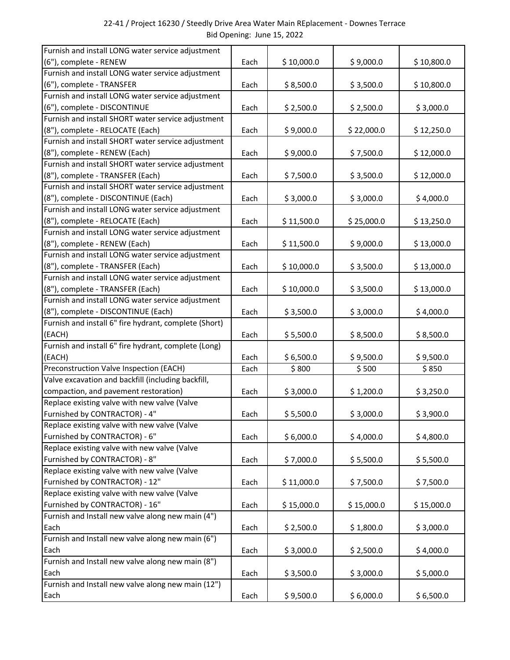| Furnish and install LONG water service adjustment     |      |            |            |            |
|-------------------------------------------------------|------|------------|------------|------------|
| (6"), complete - RENEW                                | Each | \$10,000.0 | \$9,000.0  | \$10,800.0 |
| Furnish and install LONG water service adjustment     |      |            |            |            |
| (6"), complete - TRANSFER                             | Each | \$8,500.0  | \$3,500.0  | \$10,800.0 |
| Furnish and install LONG water service adjustment     |      |            |            |            |
| (6"), complete - DISCONTINUE                          | Each | \$2,500.0  | \$2,500.0  | \$3,000.0  |
| Furnish and install SHORT water service adjustment    |      |            |            |            |
| (8"), complete - RELOCATE (Each)                      | Each | \$9,000.0  | \$22,000.0 | \$12,250.0 |
| Furnish and install SHORT water service adjustment    |      |            |            |            |
| (8"), complete - RENEW (Each)                         | Each | \$9,000.0  | \$7,500.0  | \$12,000.0 |
| Furnish and install SHORT water service adjustment    |      |            |            |            |
| (8"), complete - TRANSFER (Each)                      | Each | \$7,500.0  | \$3,500.0  | \$12,000.0 |
| Furnish and install SHORT water service adjustment    |      |            |            |            |
| (8"), complete - DISCONTINUE (Each)                   | Each | \$3,000.0  | \$3,000.0  | \$4,000.0  |
| Furnish and install LONG water service adjustment     |      |            |            |            |
| (8"), complete - RELOCATE (Each)                      | Each | \$11,500.0 | \$25,000.0 | \$13,250.0 |
| Furnish and install LONG water service adjustment     |      |            |            |            |
| (8"), complete - RENEW (Each)                         | Each | \$11,500.0 | \$9,000.0  | \$13,000.0 |
| Furnish and install LONG water service adjustment     |      |            |            |            |
| (8"), complete - TRANSFER (Each)                      | Each | \$10,000.0 | \$3,500.0  | \$13,000.0 |
| Furnish and install LONG water service adjustment     |      |            |            |            |
| (8"), complete - TRANSFER (Each)                      | Each | \$10,000.0 | \$3,500.0  | \$13,000.0 |
| Furnish and install LONG water service adjustment     |      |            |            |            |
| (8"), complete - DISCONTINUE (Each)                   | Each | \$3,500.0  | \$3,000.0  | \$4,000.0  |
| Furnish and install 6" fire hydrant, complete (Short) |      |            |            |            |
| (EACH)                                                | Each | \$5,500.0  | \$8,500.0  | \$8,500.0  |
| Furnish and install 6" fire hydrant, complete (Long)  |      |            |            |            |
| (EACH)<br>Preconstruction Valve Inspection (EACH)     | Each | \$6,500.0  | \$9,500.0  | \$9,500.0  |
| Valve excavation and backfill (including backfill,    | Each | \$800      | \$500      | \$850      |
| compaction, and pavement restoration)                 | Each | \$3,000.0  |            | \$3,250.0  |
| Replace existing valve with new valve (Valve          |      |            | \$1,200.0  |            |
| Furnished by CONTRACTOR) - 4"                         | Each | \$5,500.0  | \$3,000.0  | \$3,900.0  |
| Replace existing valve with new valve (Valve          |      |            |            |            |
| Furnished by CONTRACTOR) - 6"                         | Each | \$6,000.0  | \$4,000.0  | \$4,800.0  |
| Replace existing valve with new valve (Valve          |      |            |            |            |
| Furnished by CONTRACTOR) - 8"                         | Each | \$7,000.0  | \$5,500.0  | \$5,500.0  |
| Replace existing valve with new valve (Valve          |      |            |            |            |
| Furnished by CONTRACTOR) - 12"                        | Each | \$11,000.0 | \$7,500.0  | \$7,500.0  |
| Replace existing valve with new valve (Valve          |      |            |            |            |
| Furnished by CONTRACTOR) - 16"                        | Each | \$15,000.0 | \$15,000.0 | \$15,000.0 |
| Furnish and Install new valve along new main (4")     |      |            |            |            |
| Each                                                  | Each | \$2,500.0  | \$1,800.0  | \$3,000.0  |
| Furnish and Install new valve along new main (6")     |      |            |            |            |
| Each                                                  | Each | \$3,000.0  | \$2,500.0  | \$4,000.0  |
| Furnish and Install new valve along new main (8")     |      |            |            |            |
| Each                                                  | Each | \$3,500.0  | \$3,000.0  | \$5,000.0  |
| Furnish and Install new valve along new main (12")    |      |            |            |            |
| Each                                                  | Each | \$9,500.0  | \$6,000.0  | \$6,500.0  |